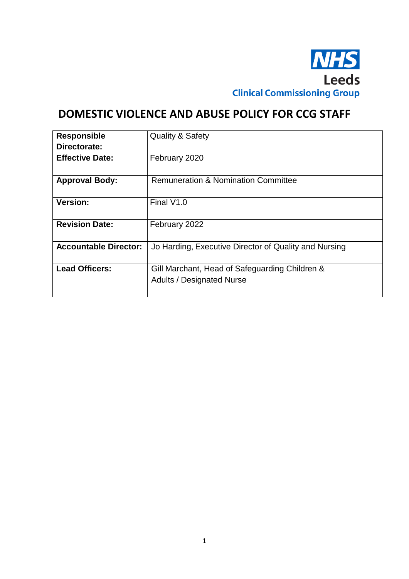

# **DOMESTIC VIOLENCE AND ABUSE POLICY FOR CCG STAFF**

| <b>Responsible</b>           | <b>Quality &amp; Safety</b>                                                        |
|------------------------------|------------------------------------------------------------------------------------|
| Directorate:                 |                                                                                    |
| <b>Effective Date:</b>       | February 2020                                                                      |
| <b>Approval Body:</b>        | <b>Remuneration &amp; Nomination Committee</b>                                     |
| Version:                     | Final V1.0                                                                         |
| <b>Revision Date:</b>        | February 2022                                                                      |
| <b>Accountable Director:</b> | Jo Harding, Executive Director of Quality and Nursing                              |
| <b>Lead Officers:</b>        | Gill Marchant, Head of Safeguarding Children &<br><b>Adults / Designated Nurse</b> |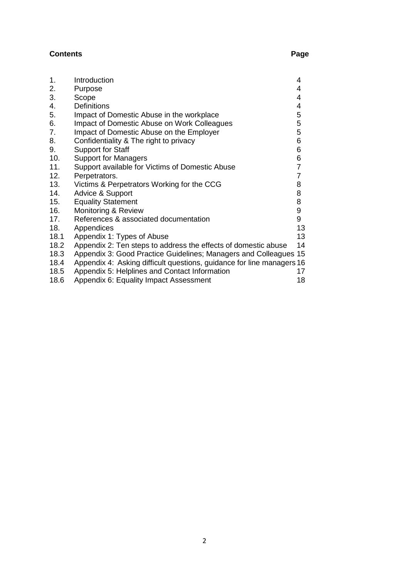# **Contents** Page

| 1.   | Introduction                                                          | 4              |
|------|-----------------------------------------------------------------------|----------------|
| 2.   | Purpose                                                               | 4              |
| 3.   | Scope                                                                 | 4              |
| 4.   | <b>Definitions</b>                                                    | 4              |
| 5.   | Impact of Domestic Abuse in the workplace                             | 5              |
| 6.   | Impact of Domestic Abuse on Work Colleagues                           | 5              |
| 7.   | Impact of Domestic Abuse on the Employer                              | 5              |
| 8.   | Confidentiality & The right to privacy                                | 6              |
| 9.   | <b>Support for Staff</b>                                              | 6              |
| 10.  | <b>Support for Managers</b>                                           | 6              |
| 11.  | Support available for Victims of Domestic Abuse                       | $\overline{7}$ |
| 12.  | Perpetrators.                                                         | $\overline{7}$ |
| 13.  | Victims & Perpetrators Working for the CCG                            | 8              |
| 14.  | Advice & Support                                                      | 8              |
| 15.  | <b>Equality Statement</b>                                             | 8              |
| 16.  | Monitoring & Review                                                   | 9              |
| 17.  | References & associated documentation                                 | 9              |
| 18.  | Appendices                                                            | 13             |
| 18.1 | Appendix 1: Types of Abuse                                            | 13             |
| 18.2 | Appendix 2: Ten steps to address the effects of domestic abuse        | 14             |
| 18.3 | Appendix 3: Good Practice Guidelines; Managers and Colleagues 15      |                |
| 18.4 | Appendix 4: Asking difficult questions, guidance for line managers 16 |                |
| 18.5 | Appendix 5: Helplines and Contact Information                         | 17             |
| 18.6 | Appendix 6: Equality Impact Assessment                                | 18             |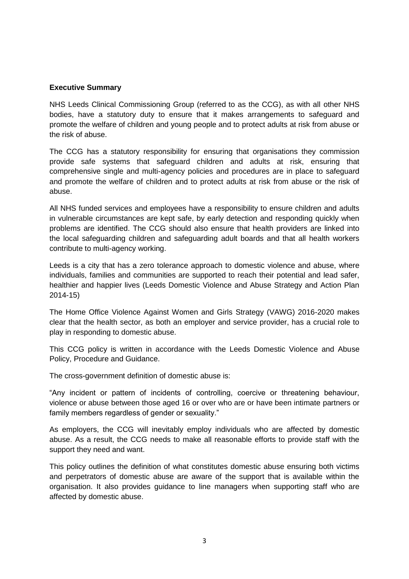#### **Executive Summary**

NHS Leeds Clinical Commissioning Group (referred to as the CCG), as with all other NHS bodies, have a statutory duty to ensure that it makes arrangements to safeguard and promote the welfare of children and young people and to protect adults at risk from abuse or the risk of abuse.

The CCG has a statutory responsibility for ensuring that organisations they commission provide safe systems that safeguard children and adults at risk, ensuring that comprehensive single and multi-agency policies and procedures are in place to safeguard and promote the welfare of children and to protect adults at risk from abuse or the risk of abuse.

All NHS funded services and employees have a responsibility to ensure children and adults in vulnerable circumstances are kept safe, by early detection and responding quickly when problems are identified. The CCG should also ensure that health providers are linked into the local safeguarding children and safeguarding adult boards and that all health workers contribute to multi-agency working.

Leeds is a city that has a zero tolerance approach to domestic violence and abuse, where individuals, families and communities are supported to reach their potential and lead safer, healthier and happier lives (Leeds Domestic Violence and Abuse Strategy and Action Plan 2014-15)

The Home Office Violence Against Women and Girls Strategy (VAWG) 2016-2020 makes clear that the health sector, as both an employer and service provider, has a crucial role to play in responding to domestic abuse.

This CCG policy is written in accordance with the Leeds Domestic Violence and Abuse Policy, Procedure and Guidance.

The cross-government definition of domestic abuse is:

"Any incident or pattern of incidents of controlling, coercive or threatening behaviour, violence or abuse between those aged 16 or over who are or have been intimate partners or family members regardless of gender or sexuality."

As employers, the CCG will inevitably employ individuals who are affected by domestic abuse. As a result, the CCG needs to make all reasonable efforts to provide staff with the support they need and want.

This policy outlines the definition of what constitutes domestic abuse ensuring both victims and perpetrators of domestic abuse are aware of the support that is available within the organisation. It also provides guidance to line managers when supporting staff who are affected by domestic abuse.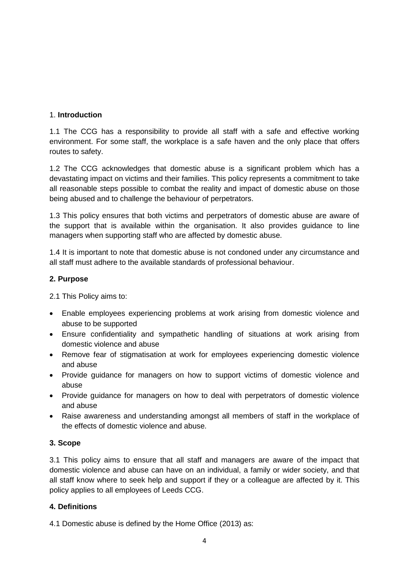# 1. **Introduction**

1.1 The CCG has a responsibility to provide all staff with a safe and effective working environment. For some staff, the workplace is a safe haven and the only place that offers routes to safety.

1.2 The CCG acknowledges that domestic abuse is a significant problem which has a devastating impact on victims and their families. This policy represents a commitment to take all reasonable steps possible to combat the reality and impact of domestic abuse on those being abused and to challenge the behaviour of perpetrators.

1.3 This policy ensures that both victims and perpetrators of domestic abuse are aware of the support that is available within the organisation. It also provides guidance to line managers when supporting staff who are affected by domestic abuse.

1.4 It is important to note that domestic abuse is not condoned under any circumstance and all staff must adhere to the available standards of professional behaviour.

# **2. Purpose**

2.1 This Policy aims to:

- Enable employees experiencing problems at work arising from domestic violence and abuse to be supported
- Ensure confidentiality and sympathetic handling of situations at work arising from domestic violence and abuse
- Remove fear of stigmatisation at work for employees experiencing domestic violence and abuse
- Provide guidance for managers on how to support victims of domestic violence and abuse
- Provide guidance for managers on how to deal with perpetrators of domestic violence and abuse
- Raise awareness and understanding amongst all members of staff in the workplace of the effects of domestic violence and abuse.

#### **3. Scope**

3.1 This policy aims to ensure that all staff and managers are aware of the impact that domestic violence and abuse can have on an individual, a family or wider society, and that all staff know where to seek help and support if they or a colleague are affected by it. This policy applies to all employees of Leeds CCG.

# **4. Definitions**

4.1 Domestic abuse is defined by the Home Office (2013) as: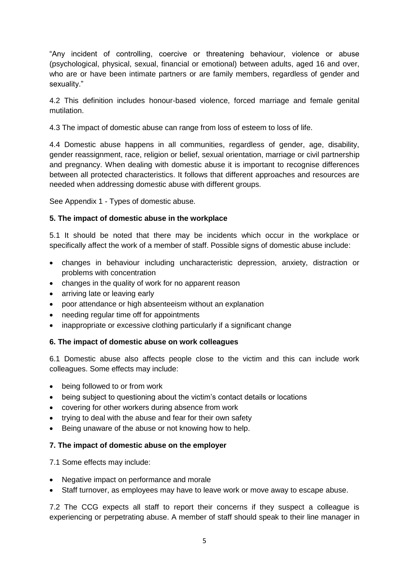"Any incident of controlling, coercive or threatening behaviour, violence or abuse (psychological, physical, sexual, financial or emotional) between adults, aged 16 and over, who are or have been intimate partners or are family members, regardless of gender and sexuality."

4.2 This definition includes honour-based violence, forced marriage and female genital mutilation.

4.3 The impact of domestic abuse can range from loss of esteem to loss of life.

4.4 Domestic abuse happens in all communities, regardless of gender, age, disability, gender reassignment, race, religion or belief, sexual orientation, marriage or civil partnership and pregnancy. When dealing with domestic abuse it is important to recognise differences between all protected characteristics. It follows that different approaches and resources are needed when addressing domestic abuse with different groups.

See Appendix 1 - Types of domestic abuse.

# **5. The impact of domestic abuse in the workplace**

5.1 It should be noted that there may be incidents which occur in the workplace or specifically affect the work of a member of staff. Possible signs of domestic abuse include:

- changes in behaviour including uncharacteristic depression, anxiety, distraction or problems with concentration
- changes in the quality of work for no apparent reason
- arriving late or leaving early
- poor attendance or high absenteeism without an explanation
- needing regular time off for appointments
- inappropriate or excessive clothing particularly if a significant change

#### **6. The impact of domestic abuse on work colleagues**

6.1 Domestic abuse also affects people close to the victim and this can include work colleagues. Some effects may include:

- being followed to or from work
- being subject to questioning about the victim's contact details or locations
- covering for other workers during absence from work
- trying to deal with the abuse and fear for their own safety
- Being unaware of the abuse or not knowing how to help.

#### **7. The impact of domestic abuse on the employer**

7.1 Some effects may include:

- Negative impact on performance and morale
- Staff turnover, as employees may have to leave work or move away to escape abuse.

7.2 The CCG expects all staff to report their concerns if they suspect a colleague is experiencing or perpetrating abuse. A member of staff should speak to their line manager in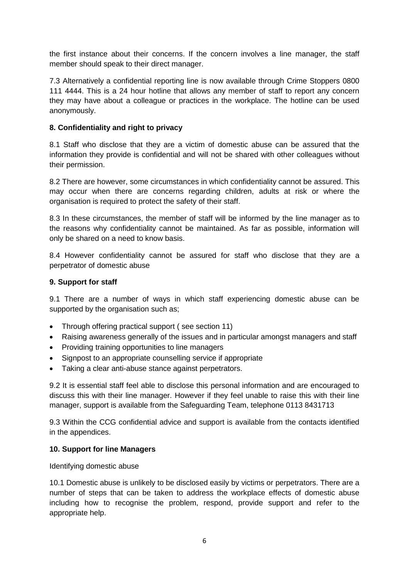the first instance about their concerns. If the concern involves a line manager, the staff member should speak to their direct manager.

7.3 Alternatively a confidential reporting line is now available through Crime Stoppers 0800 111 4444. This is a 24 hour hotline that allows any member of staff to report any concern they may have about a colleague or practices in the workplace. The hotline can be used anonymously.

# **8. Confidentiality and right to privacy**

8.1 Staff who disclose that they are a victim of domestic abuse can be assured that the information they provide is confidential and will not be shared with other colleagues without their permission.

8.2 There are however, some circumstances in which confidentiality cannot be assured. This may occur when there are concerns regarding children, adults at risk or where the organisation is required to protect the safety of their staff.

8.3 In these circumstances, the member of staff will be informed by the line manager as to the reasons why confidentiality cannot be maintained. As far as possible, information will only be shared on a need to know basis.

8.4 However confidentiality cannot be assured for staff who disclose that they are a perpetrator of domestic abuse

#### **9. Support for staff**

9.1 There are a number of ways in which staff experiencing domestic abuse can be supported by the organisation such as;

- Through offering practical support (see section 11)
- Raising awareness generally of the issues and in particular amongst managers and staff
- Providing training opportunities to line managers
- Signpost to an appropriate counselling service if appropriate
- Taking a clear anti-abuse stance against perpetrators.

9.2 It is essential staff feel able to disclose this personal information and are encouraged to discuss this with their line manager. However if they feel unable to raise this with their line manager, support is available from the Safeguarding Team, telephone 0113 8431713

9.3 Within the CCG confidential advice and support is available from the contacts identified in the appendices.

#### **10. Support for line Managers**

Identifying domestic abuse

10.1 Domestic abuse is unlikely to be disclosed easily by victims or perpetrators. There are a number of steps that can be taken to address the workplace effects of domestic abuse including how to recognise the problem, respond, provide support and refer to the appropriate help.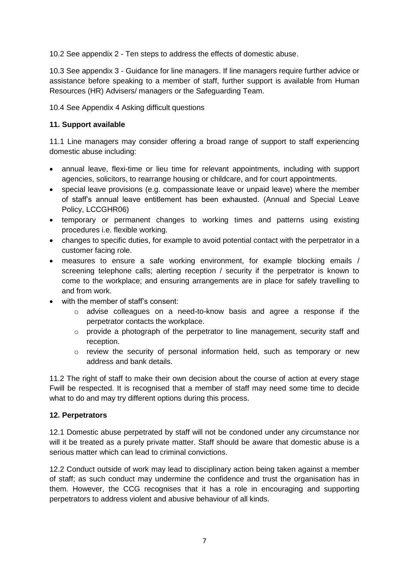10.2 See appendix 2 - Ten steps to address the effects of domestic abuse.

10.3 See appendix 3 - Guidance for line managers. If line managers require further advice or assistance before speaking to a member of staff, further support is available from Human Resources (HR) Advisers/ managers or the Safeguarding Team.

10.4 See Appendix 4 Asking difficult questions

# **11. Support available**

11.1 Line managers may consider offering a broad range of support to staff experiencing domestic abuse including:

- annual leave, flexi-time or lieu time for relevant appointments, including with support agencies, solicitors, to rearrange housing or childcare, and for court appointments.
- special leave provisions (e.g. compassionate leave or unpaid leave) where the member of staff's annual leave entitlement has been exhausted. (Annual and Special Leave Policy, LCCGHR06)
- temporary or permanent changes to working times and patterns using existing procedures i.e. flexible working.
- changes to specific duties, for example to avoid potential contact with the perpetrator in a customer facing role.
- measures to ensure a safe working environment, for example blocking emails / screening telephone calls; alerting reception / security if the perpetrator is known to come to the workplace; and ensuring arrangements are in place for safely travelling to and from work.
- with the member of staff's consent:
	- o advise colleagues on a need-to-know basis and agree a response if the perpetrator contacts the workplace.
	- o provide a photograph of the perpetrator to line management, security staff and reception.
	- $\circ$  review the security of personal information held, such as temporary or new address and bank details.

11.2 The right of staff to make their own decision about the course of action at every stage Fwill be respected. It is recognised that a member of staff may need some time to decide what to do and may try different options during this process.

#### **12. Perpetrators**

12.1 Domestic abuse perpetrated by staff will not be condoned under any circumstance nor will it be treated as a purely private matter. Staff should be aware that domestic abuse is a serious matter which can lead to criminal convictions.

12.2 Conduct outside of work may lead to disciplinary action being taken against a member of staff; as such conduct may undermine the confidence and trust the organisation has in them. However, the CCG recognises that it has a role in encouraging and supporting perpetrators to address violent and abusive behaviour of all kinds.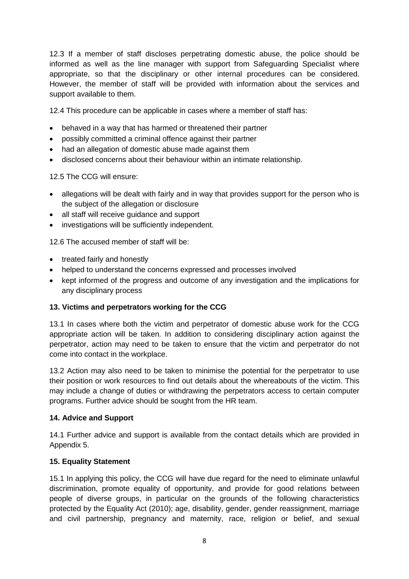12.3 If a member of staff discloses perpetrating domestic abuse, the police should be informed as well as the line manager with support from Safeguarding Specialist where appropriate, so that the disciplinary or other internal procedures can be considered. However, the member of staff will be provided with information about the services and support available to them.

12.4 This procedure can be applicable in cases where a member of staff has:

- behaved in a way that has harmed or threatened their partner
- possibly committed a criminal offence against their partner
- had an allegation of domestic abuse made against them
- disclosed concerns about their behaviour within an intimate relationship.

12.5 The CCG will ensure:

- allegations will be dealt with fairly and in way that provides support for the person who is the subject of the allegation or disclosure
- all staff will receive quidance and support
- investigations will be sufficiently independent.

12.6 The accused member of staff will be:

- treated fairly and honestly
- helped to understand the concerns expressed and processes involved
- kept informed of the progress and outcome of any investigation and the implications for any disciplinary process

#### **13. Victims and perpetrators working for the CCG**

13.1 In cases where both the victim and perpetrator of domestic abuse work for the CCG appropriate action will be taken. In addition to considering disciplinary action against the perpetrator, action may need to be taken to ensure that the victim and perpetrator do not come into contact in the workplace.

13.2 Action may also need to be taken to minimise the potential for the perpetrator to use their position or work resources to find out details about the whereabouts of the victim. This may include a change of duties or withdrawing the perpetrators access to certain computer programs. Further advice should be sought from the HR team.

#### **14. Advice and Support**

14.1 Further advice and support is available from the contact details which are provided in Appendix 5.

#### **15. Equality Statement**

15.1 In applying this policy, the CCG will have due regard for the need to eliminate unlawful discrimination, promote equality of opportunity, and provide for good relations between people of diverse groups, in particular on the grounds of the following characteristics protected by the Equality Act (2010); age, disability, gender, gender reassignment, marriage and civil partnership, pregnancy and maternity, race, religion or belief, and sexual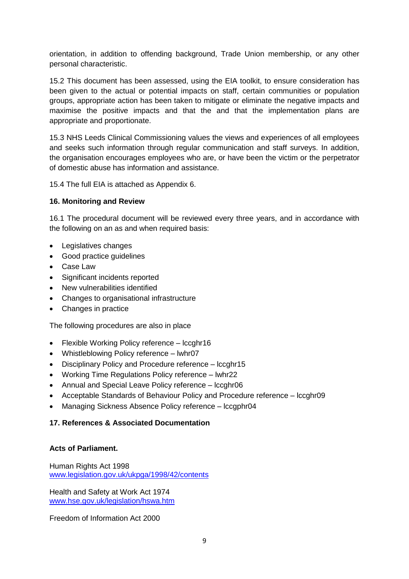orientation, in addition to offending background, Trade Union membership, or any other personal characteristic.

15.2 This document has been assessed, using the EIA toolkit, to ensure consideration has been given to the actual or potential impacts on staff, certain communities or population groups, appropriate action has been taken to mitigate or eliminate the negative impacts and maximise the positive impacts and that the and that the implementation plans are appropriate and proportionate.

15.3 NHS Leeds Clinical Commissioning values the views and experiences of all employees and seeks such information through regular communication and staff surveys. In addition, the organisation encourages employees who are, or have been the victim or the perpetrator of domestic abuse has information and assistance.

15.4 The full EIA is attached as Appendix 6.

#### **16. Monitoring and Review**

16.1 The procedural document will be reviewed every three years, and in accordance with the following on an as and when required basis:

- Legislatives changes
- Good practice quidelines
- Case Law
- Significant incidents reported
- New vulnerabilities identified
- Changes to organisational infrastructure
- Changes in practice

The following procedures are also in place

- Flexible Working Policy reference lccghr16
- Whistleblowing Policy reference lwhr07
- Disciplinary Policy and Procedure reference lccghr15
- Working Time Regulations Policy reference lwhr22
- Annual and Special Leave Policy reference lccghr06
- Acceptable Standards of Behaviour Policy and Procedure reference lccghr09
- Managing Sickness Absence Policy reference lccgphr04

#### **17. References & Associated Documentation**

#### **Acts of Parliament.**

Human Rights Act 1998 [www.legislation.gov.uk/ukpga/1998/42/contents](http://www.legislation.gov.uk/ukpga/1998/42/contents)

Health and Safety at Work Act 1974 [www.hse.gov.uk/legislation/hswa.htm](http://www.hse.gov.uk/legislation/hswa.htm)

Freedom of Information Act 2000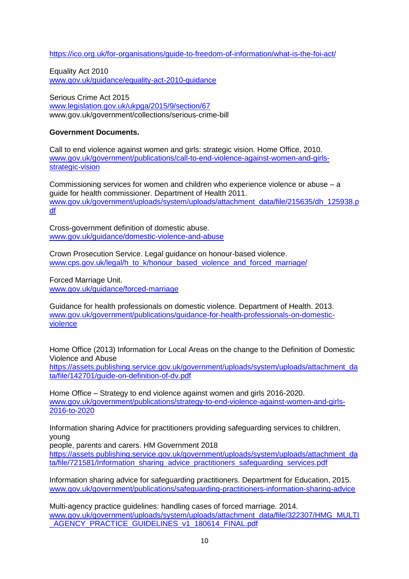<https://ico.org.uk/for-organisations/guide-to-freedom-of-information/what-is-the-foi-act/>

Equality Act 2010 [www.gov.uk/guidance/equality-act-2010-guidance](http://www.gov.uk/guidance/equality-act-2010-guidance)

Serious Crime Act 2015 [www.legislation.gov.uk/ukpga/2015/9/section/67](http://www.legislation.gov.uk/ukpga/2015/9/section/67) www.gov.uk/government/collections/serious-crime-bill

# **Government Documents.**

Call to end violence against women and girls: strategic vision. Home Office, 2010. [www.gov.uk/government/publications/call-to-end-violence-against-women-and-girls](http://www.gov.uk/government/publications/call-to-end-violence-against-women-and-girls-strategic-vision)[strategic-vision](http://www.gov.uk/government/publications/call-to-end-violence-against-women-and-girls-strategic-vision)

Commissioning services for women and children who experience violence or abuse – a guide for health commissioner. Department of Health 2011. [www.gov.uk/government/uploads/system/uploads/attachment\\_data/file/215635/dh\\_125938.p](http://www.gov.uk/government/uploads/system/uploads/attachment_data/file/215635/dh_125938.pdf) [df](http://www.gov.uk/government/uploads/system/uploads/attachment_data/file/215635/dh_125938.pdf)

Cross-government definition of domestic abuse. [www.gov.uk/guidance/domestic-violence-and-abuse](http://www.gov.uk/guidance/domestic-violence-and-abuse)

Crown Prosecution Service. Legal guidance on honour-based violence. [www.cps.gov.uk/legal/h\\_to\\_k/honour\\_based\\_violence\\_and\\_forced\\_marriage/](http://www.cps.gov.uk/legal/h_to_k/honour_based_violence_and_forced_marriage/)

Forced Marriage Unit. [www.gov.uk/guidance/forced-marriage](http://www.gov.uk/guidance/forced-marriage)

Guidance for health professionals on domestic violence. Department of Health. 2013. [www.gov.uk/government/publications/guidance-for-health-professionals-on-domestic](http://www.gov.uk/government/publications/guidance-for-health-professionals-on-domestic-violence)[violence](http://www.gov.uk/government/publications/guidance-for-health-professionals-on-domestic-violence)

Home Office (2013) Information for Local Areas on the change to the Definition of Domestic Violence and Abuse

[https://assets.publishing.service.gov.uk/government/uploads/system/uploads/attachment\\_da](https://assets.publishing.service.gov.uk/government/uploads/system/uploads/attachment_data/file/142701/guide-on-definition-of-dv.pdf) [ta/file/142701/guide-on-definition-of-dv.pdf](https://assets.publishing.service.gov.uk/government/uploads/system/uploads/attachment_data/file/142701/guide-on-definition-of-dv.pdf)

Home Office – Strategy to end violence against women and girls 2016-2020. [www.gov.uk/government/publications/strategy-to-end-violence-against-women-and-girls-](http://www.gov.uk/government/publications/strategy-to-end-violence-against-women-and-girls-2016-to-2020)[2016-to-2020](http://www.gov.uk/government/publications/strategy-to-end-violence-against-women-and-girls-2016-to-2020)

Information sharing Advice for practitioners providing safeguarding services to children, young

people, parents and carers. HM Government 2018

[https://assets.publishing.service.gov.uk/government/uploads/system/uploads/attachment\\_da](https://assets.publishing.service.gov.uk/government/uploads/system/uploads/attachment_data/file/721581/Information_sharing_advice_practitioners_safeguarding_services.pdf) [ta/file/721581/Information\\_sharing\\_advice\\_practitioners\\_safeguarding\\_services.pdf](https://assets.publishing.service.gov.uk/government/uploads/system/uploads/attachment_data/file/721581/Information_sharing_advice_practitioners_safeguarding_services.pdf)

Information sharing advice for safeguarding practitioners. Department for Education, 2015. [www.gov.uk/government/publications/safeguarding-practitioners-information-sharing-advice](http://www.gov.uk/government/publications/safeguarding-practitioners-information-sharing-advice)

Multi-agency practice guidelines: handling cases of forced marriage. 2014. [www.gov.uk/government/uploads/system/uploads/attachment\\_data/file/322307/HMG\\_MULTI](http://www.gov.uk/government/uploads/system/uploads/attachment_data/file/322307/HMG_MULTI_AGENCY_PRACTICE_GUIDELINES_v1_180614_FINAL.pdf) AGENCY\_PRACTICE\_GUIDELINES\_v1\_180614\_FINAL.pdf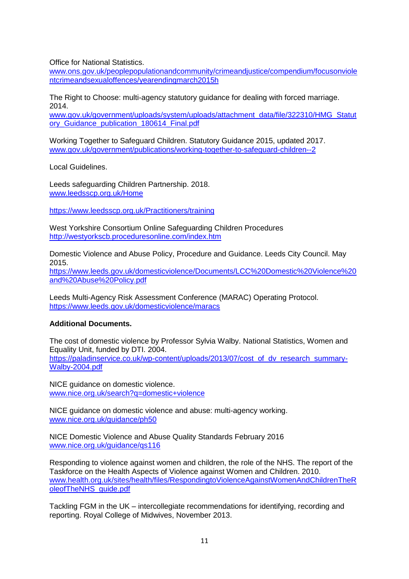Office for National Statistics.

[www.ons.gov.uk/peoplepopulationandcommunity/crimeandjustice/compendium/focusonviole](http://www.ons.gov.uk/peoplepopulationandcommunity/crimeandjustice/compendium/focusonviolentcrimeandsexualoffences/yearendingmarch2015h) [ntcrimeandsexualoffences/yearendingmarch2015h](http://www.ons.gov.uk/peoplepopulationandcommunity/crimeandjustice/compendium/focusonviolentcrimeandsexualoffences/yearendingmarch2015h)

The Right to Choose: multi-agency statutory guidance for dealing with forced marriage. 2014.

[www.gov.uk/government/uploads/system/uploads/attachment\\_data/file/322310/HMG\\_Statut](http://www.gov.uk/government/uploads/system/uploads/attachment_data/file/322310/HMG_Statutory_Guidance_publication_180614_Final.pdf) [ory\\_Guidance\\_publication\\_180614\\_Final.pdf](http://www.gov.uk/government/uploads/system/uploads/attachment_data/file/322310/HMG_Statutory_Guidance_publication_180614_Final.pdf)

Working Together to Safeguard Children. Statutory Guidance 2015, updated 2017. [www.gov.uk/government/publications/working-together-to-safeguard-children--2](http://www.gov.uk/government/publications/working-together-to-safeguard-children--2)

Local Guidelines.

Leeds safeguarding Children Partnership. 2018. [www.leedsscp.org.uk/Home](http://www.leedsscp.org.uk/Home)

<https://www.leedsscp.org.uk/Practitioners/training>

West Yorkshire Consortium Online Safeguarding Children Procedures <http://westyorkscb.proceduresonline.com/index.htm>

Domestic Violence and Abuse Policy, Procedure and Guidance. Leeds City Council. May 2015.

[https://www.leeds.gov.uk/domesticviolence/Documents/LCC%20Domestic%20Violence%20](https://www.leeds.gov.uk/domesticviolence/Documents/LCC%20Domestic%20Violence%20and%20Abuse%20Policy.pdf) [and%20Abuse%20Policy.pdf](https://www.leeds.gov.uk/domesticviolence/Documents/LCC%20Domestic%20Violence%20and%20Abuse%20Policy.pdf)

Leeds Multi-Agency Risk Assessment Conference (MARAC) Operating Protocol. <https://www.leeds.gov.uk/domesticviolence/maracs>

#### **Additional Documents.**

The cost of domestic violence by Professor Sylvia Walby. National Statistics, Women and Equality Unit, funded by DTI. 2004. [https://paladinservice.co.uk/wp-content/uploads/2013/07/cost\\_of\\_dv\\_research\\_summary-](https://paladinservice.co.uk/wp-content/uploads/2013/07/cost_of_dv_research_summary-Walby-2004.pdf)

[Walby-2004.pdf](https://paladinservice.co.uk/wp-content/uploads/2013/07/cost_of_dv_research_summary-Walby-2004.pdf)

NICE guidance on domestic violence. [www.nice.org.uk/search?q=domestic+violence](http://www.nice.org.uk/search?q=domestic+violence)

NICE guidance on domestic violence and abuse: multi-agency working. [www.nice.org.uk/guidance/ph50](http://www.nice.org.uk/guidance/ph50)

NICE Domestic Violence and Abuse Quality Standards February 2016 [www.nice.org.uk/guidance/qs116](http://www.nice.org.uk/guidance/qs116)

Responding to violence against women and children, the role of the NHS. The report of the Taskforce on the Health Aspects of Violence against Women and Children. 2010. [www.health.org.uk/sites/health/files/RespondingtoViolenceAgainstWomenAndChildrenTheR](http://www.health.org.uk/sites/health/files/RespondingtoViolenceAgainstWomenAndChildrenTheRoleofTheNHS_guide.pdf) [oleofTheNHS\\_guide.pdf](http://www.health.org.uk/sites/health/files/RespondingtoViolenceAgainstWomenAndChildrenTheRoleofTheNHS_guide.pdf)

Tackling FGM in the UK – intercollegiate recommendations for identifying, recording and reporting. Royal College of Midwives, November 2013.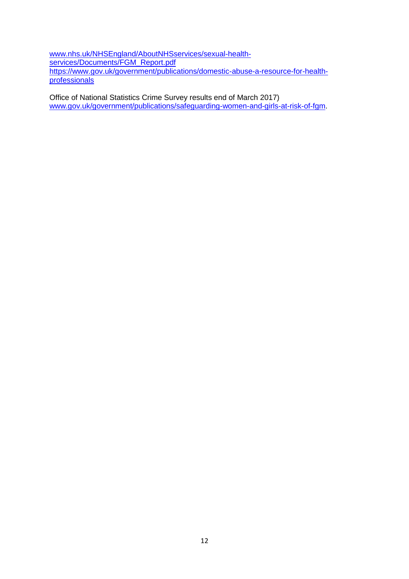[www.nhs.uk/NHSEngland/AboutNHSservices/sexual-health](http://www.nhs.uk/NHSEngland/AboutNHSservices/sexual-health-services/Documents/FGM_Report.pdf)[services/Documents/FGM\\_Report.pdf](http://www.nhs.uk/NHSEngland/AboutNHSservices/sexual-health-services/Documents/FGM_Report.pdf) [https://www.gov.uk/government/publications/domestic-abuse-a-resource-for-health](https://www.gov.uk/government/publications/domestic-abuse-a-resource-for-health-professionals)[professionals](https://www.gov.uk/government/publications/domestic-abuse-a-resource-for-health-professionals)

Office of National Statistics Crime Survey results end of March 2017) [www.gov.uk/government/publications/safeguarding-women-and-girls-at-risk-of-fgm.](http://www.gov.uk/government/publications/safeguarding-women-and-girls-at-risk-of-fgm)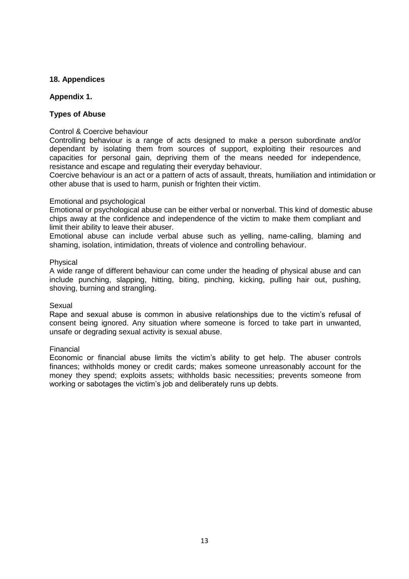### **18. Appendices**

#### **Appendix 1.**

#### **Types of Abuse**

#### Control & Coercive behaviour

Controlling behaviour is a range of acts designed to make a person subordinate and/or dependant by isolating them from sources of support, exploiting their resources and capacities for personal gain, depriving them of the means needed for independence, resistance and escape and regulating their everyday behaviour.

Coercive behaviour is an act or a pattern of acts of assault, threats, humiliation and intimidation or other abuse that is used to harm, punish or frighten their victim.

#### Emotional and psychological

Emotional or psychological abuse can be either verbal or nonverbal. This kind of domestic abuse chips away at the confidence and independence of the victim to make them compliant and limit their ability to leave their abuser.

Emotional abuse can include verbal abuse such as yelling, name-calling, blaming and shaming, isolation, intimidation, threats of violence and controlling behaviour.

#### Physical

A wide range of different behaviour can come under the heading of physical abuse and can include punching, slapping, hitting, biting, pinching, kicking, pulling hair out, pushing, shoving, burning and strangling.

#### Sexual

Rape and sexual abuse is common in abusive relationships due to the victim's refusal of consent being ignored. Any situation where someone is forced to take part in unwanted, unsafe or degrading sexual activity is sexual abuse.

#### Financial

Economic or financial abuse limits the victim's ability to get help. The abuser controls finances; withholds money or credit cards; makes someone unreasonably account for the money they spend; exploits assets; withholds basic necessities; prevents someone from working or sabotages the victim's job and deliberately runs up debts.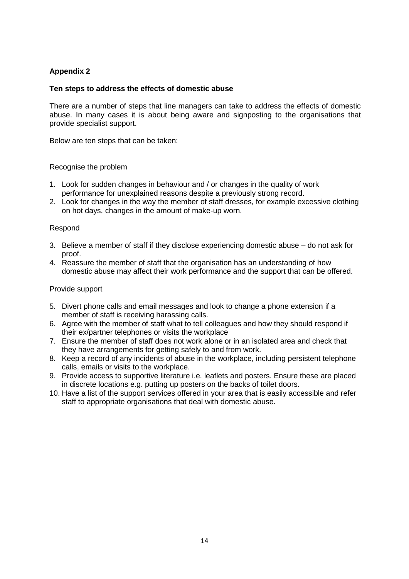#### **Ten steps to address the effects of domestic abuse**

There are a number of steps that line managers can take to address the effects of domestic abuse. In many cases it is about being aware and signposting to the organisations that provide specialist support.

Below are ten steps that can be taken:

#### Recognise the problem

- 1. Look for sudden changes in behaviour and / or changes in the quality of work performance for unexplained reasons despite a previously strong record.
- 2. Look for changes in the way the member of staff dresses, for example excessive clothing on hot days, changes in the amount of make-up worn.

#### Respond

- 3. Believe a member of staff if they disclose experiencing domestic abuse do not ask for proof.
- 4. Reassure the member of staff that the organisation has an understanding of how domestic abuse may affect their work performance and the support that can be offered.

#### Provide support

- 5. Divert phone calls and email messages and look to change a phone extension if a member of staff is receiving harassing calls.
- 6. Agree with the member of staff what to tell colleagues and how they should respond if their ex/partner telephones or visits the workplace
- 7. Ensure the member of staff does not work alone or in an isolated area and check that they have arrangements for getting safely to and from work.
- 8. Keep a record of any incidents of abuse in the workplace, including persistent telephone calls, emails or visits to the workplace.
- 9. Provide access to supportive literature i.e. leaflets and posters. Ensure these are placed in discrete locations e.g. putting up posters on the backs of toilet doors.
- 10. Have a list of the support services offered in your area that is easily accessible and refer staff to appropriate organisations that deal with domestic abuse.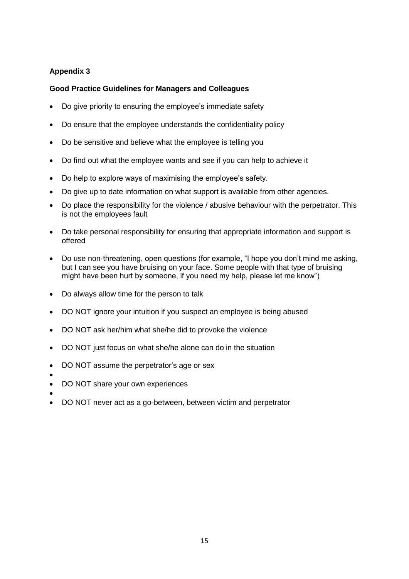# **Good Practice Guidelines for Managers and Colleagues**

- Do give priority to ensuring the employee's immediate safety
- Do ensure that the employee understands the confidentiality policy
- Do be sensitive and believe what the employee is telling you
- Do find out what the employee wants and see if you can help to achieve it
- Do help to explore ways of maximising the employee's safety.
- Do give up to date information on what support is available from other agencies.
- Do place the responsibility for the violence / abusive behaviour with the perpetrator. This is not the employees fault
- Do take personal responsibility for ensuring that appropriate information and support is offered
- Do use non-threatening, open questions (for example, "I hope you don't mind me asking, but I can see you have bruising on your face. Some people with that type of bruising might have been hurt by someone, if you need my help, please let me know")
- Do always allow time for the person to talk
- DO NOT ignore your intuition if you suspect an employee is being abused
- DO NOT ask her/him what she/he did to provoke the violence
- DO NOT just focus on what she/he alone can do in the situation
- DO NOT assume the perpetrator's age or sex
- $\bullet$
- DO NOT share your own experiences
- $\bullet$
- DO NOT never act as a go-between, between victim and perpetrator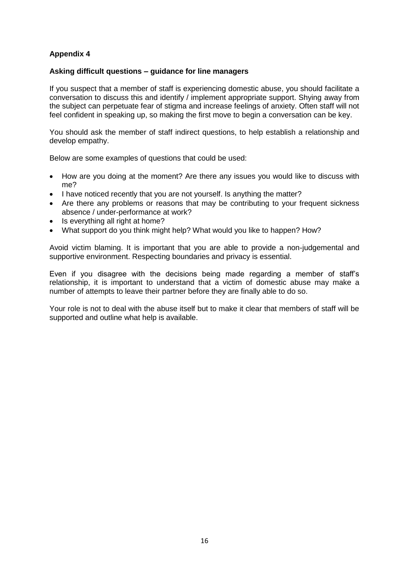#### **Asking difficult questions – guidance for line managers**

If you suspect that a member of staff is experiencing domestic abuse, you should facilitate a conversation to discuss this and identify / implement appropriate support. Shying away from the subject can perpetuate fear of stigma and increase feelings of anxiety. Often staff will not feel confident in speaking up, so making the first move to begin a conversation can be key.

You should ask the member of staff indirect questions, to help establish a relationship and develop empathy.

Below are some examples of questions that could be used:

- How are you doing at the moment? Are there any issues you would like to discuss with me?
- I have noticed recently that you are not yourself. Is anything the matter?
- Are there any problems or reasons that may be contributing to your frequent sickness absence / under-performance at work?
- Is everything all right at home?
- What support do you think might help? What would you like to happen? How?

Avoid victim blaming. It is important that you are able to provide a non-judgemental and supportive environment. Respecting boundaries and privacy is essential.

Even if you disagree with the decisions being made regarding a member of staff's relationship, it is important to understand that a victim of domestic abuse may make a number of attempts to leave their partner before they are finally able to do so.

Your role is not to deal with the abuse itself but to make it clear that members of staff will be supported and outline what help is available.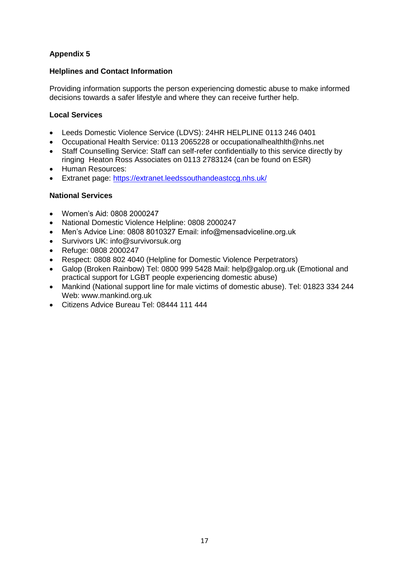# **Helplines and Contact Information**

Providing information supports the person experiencing domestic abuse to make informed decisions towards a safer lifestyle and where they can receive further help.

# **Local Services**

- Leeds Domestic Violence Service (LDVS): 24HR HELPLINE 0113 246 0401
- Occupational Health Service: 0113 2065228 or occupationalhealthlth@nhs.net
- Staff Counselling Service: Staff can self-refer confidentially to this service directly by ringing Heaton Ross Associates on 0113 2783124 (can be found on ESR)
- Human Resources:
- Extranet page:<https://extranet.leedssouthandeastccg.nhs.uk/>

# **National Services**

- Women's Aid: 0808 2000247
- National Domestic Violence Helpline: 0808 2000247
- Men's Advice Line: 0808 8010327 Email: info@mensadviceline.org.uk
- Survivors UK: info@survivorsuk.org
- Refuge: 0808 2000247
- Respect: 0808 802 4040 (Helpline for Domestic Violence Perpetrators)
- Galop (Broken Rainbow) Tel: 0800 999 5428 Mail: help@galop.org.uk (Emotional and practical support for LGBT people experiencing domestic abuse)
- Mankind (National support line for male victims of domestic abuse). Tel: 01823 334 244 Web: www.mankind.org.uk
- Citizens Advice Bureau Tel: 08444 111 444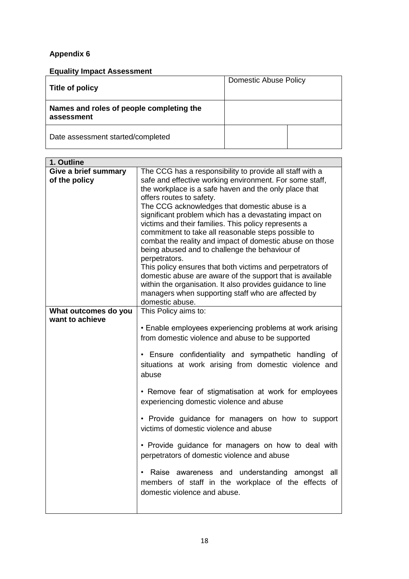**Equality Impact Assessment**

| <b>Title of policy</b>                                 | <b>Domestic Abuse Policy</b> |  |
|--------------------------------------------------------|------------------------------|--|
| Names and roles of people completing the<br>assessment |                              |  |
| Date assessment started/completed                      |                              |  |

| 1. Outline           |                                                            |  |  |  |  |
|----------------------|------------------------------------------------------------|--|--|--|--|
| Give a brief summary | The CCG has a responsibility to provide all staff with a   |  |  |  |  |
| of the policy        | safe and effective working environment. For some staff,    |  |  |  |  |
|                      | the workplace is a safe haven and the only place that      |  |  |  |  |
|                      | offers routes to safety.                                   |  |  |  |  |
|                      | The CCG acknowledges that domestic abuse is a              |  |  |  |  |
|                      | significant problem which has a devastating impact on      |  |  |  |  |
|                      | victims and their families. This policy represents a       |  |  |  |  |
|                      | commitment to take all reasonable steps possible to        |  |  |  |  |
|                      | combat the reality and impact of domestic abuse on those   |  |  |  |  |
|                      | being abused and to challenge the behaviour of             |  |  |  |  |
|                      | perpetrators.                                              |  |  |  |  |
|                      | This policy ensures that both victims and perpetrators of  |  |  |  |  |
|                      | domestic abuse are aware of the support that is available  |  |  |  |  |
|                      | within the organisation. It also provides guidance to line |  |  |  |  |
|                      | managers when supporting staff who are affected by         |  |  |  |  |
| What outcomes do you | domestic abuse.                                            |  |  |  |  |
| want to achieve      | This Policy aims to:                                       |  |  |  |  |
|                      | • Enable employees experiencing problems at work arising   |  |  |  |  |
|                      | from domestic violence and abuse to be supported           |  |  |  |  |
|                      |                                                            |  |  |  |  |
|                      | • Ensure confidentiality and sympathetic handling of       |  |  |  |  |
|                      | situations at work arising from domestic violence and      |  |  |  |  |
|                      | abuse                                                      |  |  |  |  |
|                      |                                                            |  |  |  |  |
|                      | • Remove fear of stigmatisation at work for employees      |  |  |  |  |
|                      | experiencing domestic violence and abuse                   |  |  |  |  |
|                      |                                                            |  |  |  |  |
|                      | • Provide guidance for managers on how to support          |  |  |  |  |
|                      | victims of domestic violence and abuse                     |  |  |  |  |
|                      |                                                            |  |  |  |  |
|                      | • Provide guidance for managers on how to deal with        |  |  |  |  |
|                      | perpetrators of domestic violence and abuse                |  |  |  |  |
|                      |                                                            |  |  |  |  |
|                      | Raise awareness and understanding amongst<br>all           |  |  |  |  |
|                      | members of staff in the workplace of the effects of        |  |  |  |  |
|                      | domestic violence and abuse.                               |  |  |  |  |
|                      |                                                            |  |  |  |  |
|                      |                                                            |  |  |  |  |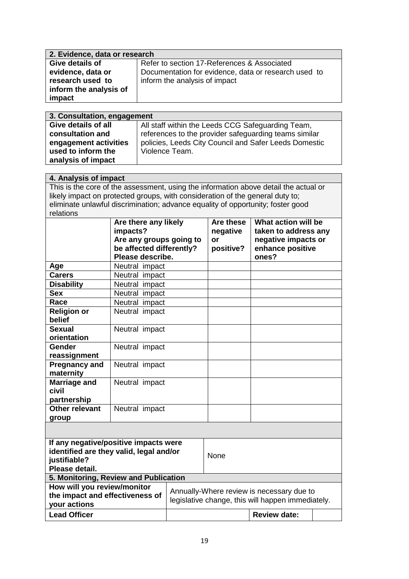| 2. Evidence, data or research |                                                      |  |
|-------------------------------|------------------------------------------------------|--|
| Give details of               | Refer to section 17-References & Associated          |  |
| evidence, data or             | Documentation for evidence, data or research used to |  |
| research used to              | inform the analysis of impact                        |  |
| inform the analysis of        |                                                      |  |
| impact                        |                                                      |  |

| 3. Consultation, engagement |                                                       |  |  |
|-----------------------------|-------------------------------------------------------|--|--|
| Give details of all         | All staff within the Leeds CCG Safeguarding Team,     |  |  |
| consultation and            | references to the provider safeguarding teams similar |  |  |
| engagement activities       | policies, Leeds City Council and Safer Leeds Domestic |  |  |
| used to inform the          | Violence Team.                                        |  |  |
| analysis of impact          |                                                       |  |  |

# **4. Analysis of impact** This is the core of the assessment, using the information above detail the actual or likely impact on protected groups, with consideration of the general duty to; eliminate unlawful discrimination; advance equality of opportunity; foster good relations

|                                                                                                                    | Are there any likely<br>impacts?<br>Are any groups going to<br>be affected differently?<br>Please describe. |                                                                                                | Are these<br>negative<br>or<br>positive? | What action will be<br>taken to address any<br>negative impacts or<br>enhance positive<br>ones? |  |
|--------------------------------------------------------------------------------------------------------------------|-------------------------------------------------------------------------------------------------------------|------------------------------------------------------------------------------------------------|------------------------------------------|-------------------------------------------------------------------------------------------------|--|
| Age                                                                                                                | Neutral impact                                                                                              |                                                                                                |                                          |                                                                                                 |  |
| <b>Carers</b>                                                                                                      | Neutral impact                                                                                              |                                                                                                |                                          |                                                                                                 |  |
| <b>Disability</b>                                                                                                  | Neutral impact                                                                                              |                                                                                                |                                          |                                                                                                 |  |
| <b>Sex</b>                                                                                                         | Neutral impact                                                                                              |                                                                                                |                                          |                                                                                                 |  |
| Race                                                                                                               | Neutral impact                                                                                              |                                                                                                |                                          |                                                                                                 |  |
| <b>Religion or</b><br>belief                                                                                       | Neutral impact                                                                                              |                                                                                                |                                          |                                                                                                 |  |
| <b>Sexual</b><br>orientation                                                                                       | Neutral impact                                                                                              |                                                                                                |                                          |                                                                                                 |  |
| Gender<br>reassignment                                                                                             | Neutral impact                                                                                              |                                                                                                |                                          |                                                                                                 |  |
| <b>Pregnancy and</b><br>maternity                                                                                  | Neutral impact                                                                                              |                                                                                                |                                          |                                                                                                 |  |
| Marriage and<br>civil<br>partnership                                                                               | Neutral impact                                                                                              |                                                                                                |                                          |                                                                                                 |  |
| Other relevant<br>group                                                                                            | Neutral impact                                                                                              |                                                                                                |                                          |                                                                                                 |  |
|                                                                                                                    |                                                                                                             |                                                                                                |                                          |                                                                                                 |  |
| If any negative/positive impacts were<br>identified are they valid, legal and/or<br>justifiable?<br>Please detail. |                                                                                                             | None                                                                                           |                                          |                                                                                                 |  |
| 5. Monitoring, Review and Publication                                                                              |                                                                                                             |                                                                                                |                                          |                                                                                                 |  |
| How will you review/monitor<br>the impact and effectiveness of<br>your actions                                     |                                                                                                             | Annually-Where review is necessary due to<br>legislative change, this will happen immediately. |                                          |                                                                                                 |  |
| <b>Lead Officer</b>                                                                                                |                                                                                                             |                                                                                                |                                          | <b>Review date:</b>                                                                             |  |